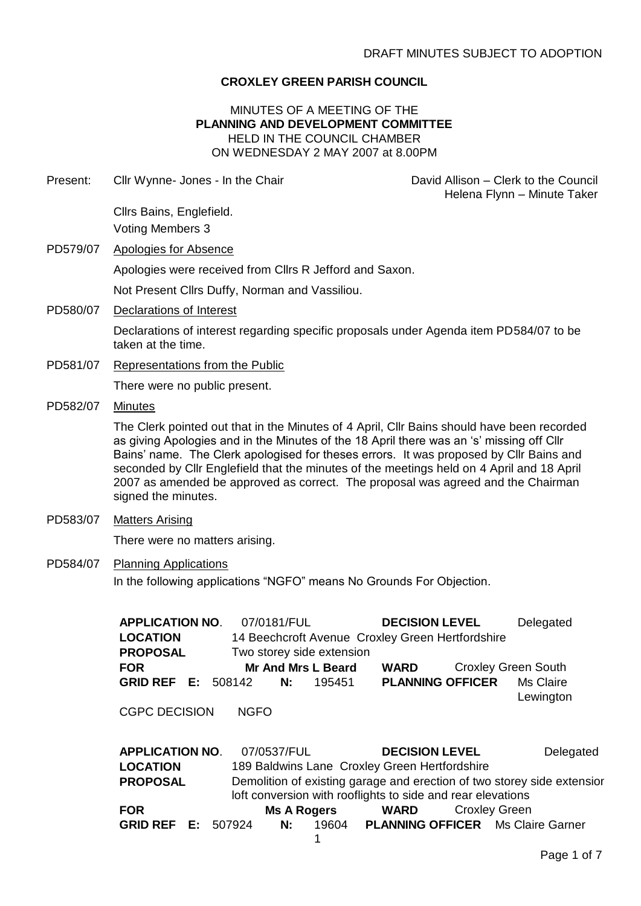## **CROXLEY GREEN PARISH COUNCIL**

### MINUTES OF A MEETING OF THE **PLANNING AND DEVELOPMENT COMMITTEE** HELD IN THE COUNCIL CHAMBER ON WEDNESDAY 2 MAY 2007 at 8.00PM

| Present: | Cllr Wynne- Jones - In the Chair                                                                                                                                                                                                                                                                                                                                                                                                                                                         | David Allison - Clerk to the Council<br>Helena Flynn - Minute Taker                                                                                                                              |  |  |  |
|----------|------------------------------------------------------------------------------------------------------------------------------------------------------------------------------------------------------------------------------------------------------------------------------------------------------------------------------------------------------------------------------------------------------------------------------------------------------------------------------------------|--------------------------------------------------------------------------------------------------------------------------------------------------------------------------------------------------|--|--|--|
|          | Cllrs Bains, Englefield.                                                                                                                                                                                                                                                                                                                                                                                                                                                                 |                                                                                                                                                                                                  |  |  |  |
|          | <b>Voting Members 3</b>                                                                                                                                                                                                                                                                                                                                                                                                                                                                  |                                                                                                                                                                                                  |  |  |  |
| PD579/07 | <b>Apologies for Absence</b>                                                                                                                                                                                                                                                                                                                                                                                                                                                             |                                                                                                                                                                                                  |  |  |  |
|          | Apologies were received from Cllrs R Jefford and Saxon.                                                                                                                                                                                                                                                                                                                                                                                                                                  |                                                                                                                                                                                                  |  |  |  |
|          | Not Present Cllrs Duffy, Norman and Vassiliou.                                                                                                                                                                                                                                                                                                                                                                                                                                           |                                                                                                                                                                                                  |  |  |  |
| PD580/07 | <b>Declarations of Interest</b>                                                                                                                                                                                                                                                                                                                                                                                                                                                          |                                                                                                                                                                                                  |  |  |  |
|          | Declarations of interest regarding specific proposals under Agenda item PD584/07 to be<br>taken at the time.                                                                                                                                                                                                                                                                                                                                                                             |                                                                                                                                                                                                  |  |  |  |
| PD581/07 | <b>Representations from the Public</b>                                                                                                                                                                                                                                                                                                                                                                                                                                                   |                                                                                                                                                                                                  |  |  |  |
|          | There were no public present.                                                                                                                                                                                                                                                                                                                                                                                                                                                            |                                                                                                                                                                                                  |  |  |  |
| PD582/07 | <b>Minutes</b>                                                                                                                                                                                                                                                                                                                                                                                                                                                                           |                                                                                                                                                                                                  |  |  |  |
|          | The Clerk pointed out that in the Minutes of 4 April, Cllr Bains should have been recorded<br>as giving Apologies and in the Minutes of the 18 April there was an 's' missing off Cllr<br>Bains' name. The Clerk apologised for theses errors. It was proposed by Cllr Bains and<br>seconded by Cllr Englefield that the minutes of the meetings held on 4 April and 18 April<br>2007 as amended be approved as correct. The proposal was agreed and the Chairman<br>signed the minutes. |                                                                                                                                                                                                  |  |  |  |
| PD583/07 | <b>Matters Arising</b>                                                                                                                                                                                                                                                                                                                                                                                                                                                                   |                                                                                                                                                                                                  |  |  |  |
|          | There were no matters arising.                                                                                                                                                                                                                                                                                                                                                                                                                                                           |                                                                                                                                                                                                  |  |  |  |
| PD584/07 | <b>Planning Applications</b><br>In the following applications "NGFO" means No Grounds For Objection.<br>07/0181/FUL<br><b>APPLICATION NO.</b><br><b>DECISION LEVEL</b><br>Delegated<br>14 Beechcroft Avenue Croxley Green Hertfordshire<br><b>LOCATION</b><br><b>PROPOSAL</b><br>Two storey side extension<br><b>Croxley Green South</b><br><b>FOR</b><br><b>Mr And Mrs L Beard</b><br><b>WARD</b><br><b>GRID REF E: 508142</b><br><b>PLANNING OFFICER</b><br>Ms Claire<br>N:<br>195451  |                                                                                                                                                                                                  |  |  |  |
|          |                                                                                                                                                                                                                                                                                                                                                                                                                                                                                          |                                                                                                                                                                                                  |  |  |  |
|          | <b>CGPC DECISION</b><br><b>NGFO</b>                                                                                                                                                                                                                                                                                                                                                                                                                                                      | Lewington                                                                                                                                                                                        |  |  |  |
|          | 07/0537/FUL<br><b>APPLICATION NO.</b><br>189 Baldwins Lane Croxley Green Hertfordshire<br><b>LOCATION</b><br><b>PROPOSAL</b><br>loft conversion with rooflights to side and rear elevations<br><b>FOR</b><br><b>Ms A Rogers</b><br><b>GRID REF E:</b><br>507924<br>19604<br>N:                                                                                                                                                                                                           | <b>DECISION LEVEL</b><br>Delegated<br>Demolition of existing garage and erection of two storey side extensior<br><b>WARD</b><br><b>Croxley Green</b><br><b>PLANNING OFFICER</b> Ms Claire Garner |  |  |  |

1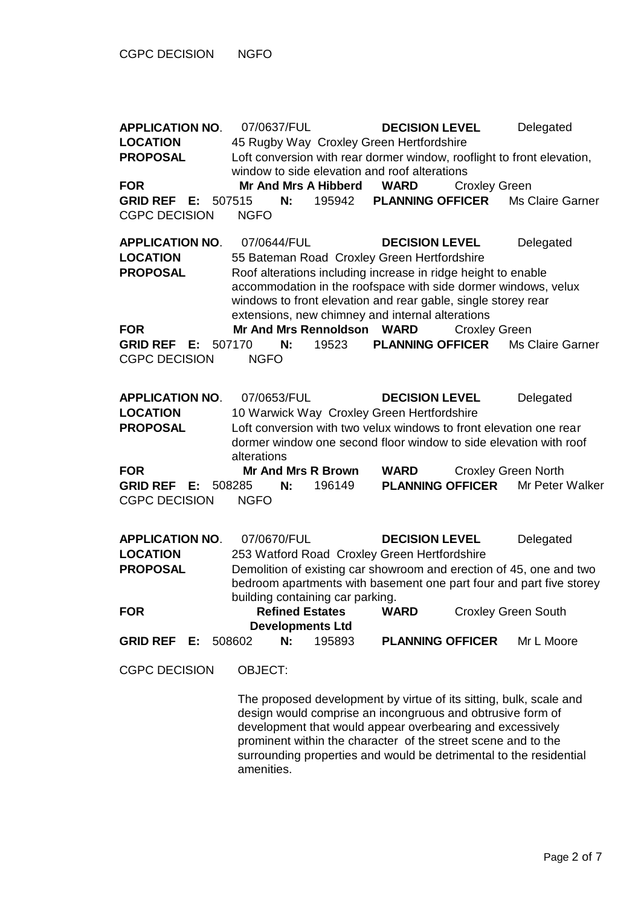**APPLICATION NO**. 07/0637/FUL **DECISION LEVEL** Delegated **LOCATION** 45 Rugby Way Croxley Green Hertfordshire **PROPOSAL** Loft conversion with rear dormer window, rooflight to front elevation, window to side elevation and roof alterations **FOR Mr And Mrs A Hibberd WARD** Croxley Green **GRID REF E:** 507515 **N:** 195942 **PLANNING OFFICER** Ms Claire Garner CGPC DECISION NGFO **APPLICATION NO**. 07/0644/FUL **DECISION LEVEL** Delegated **LOCATION** 55 Bateman Road Croxley Green Hertfordshire **PROPOSAL** Roof alterations including increase in ridge height to enable accommodation in the roofspace with side dormer windows, velux windows to front elevation and rear gable, single storey rear extensions, new chimney and internal alterations **FOR Mr And Mrs Rennoldson WARD** Croxley Green **GRID REF E:** 507170 **N:** 19523 **PLANNING OFFICER** Ms Claire Garner CGPC DECISION NGFO **APPLICATION NO**. 07/0653/FUL **DECISION LEVEL** Delegated **LOCATION** 10 Warwick Way Croxley Green Hertfordshire **PROPOSAL** Loft conversion with two velux windows to front elevation one rear dormer window one second floor window to side elevation with roof alterations **FOR Mr And Mrs R Brown WARD** Croxley Green North **GRID REF E:** 508285 **N:** 196149 **PLANNING OFFICER** Mr Peter Walker CGPC DECISION NGFO **APPLICATION NO**. 07/0670/FUL **DECISION LEVEL** Delegated **LOCATION** 253 Watford Road Croxley Green Hertfordshire **PROPOSAL** Demolition of existing car showroom and erection of 45, one and two bedroom apartments with basement one part four and part five storey building containing car parking. **FOR Refined Estates Developments Ltd WARD** Croxley Green South **GRID REF E:** 508602 **N:** 195893 **PLANNING OFFICER** Mr L Moore CGPC DECISION OBJECT: The proposed development by virtue of its sitting, bulk, scale and design would comprise an incongruous and obtrusive form of development that would appear overbearing and excessively prominent within the character of the street scene and to the

surrounding properties and would be detrimental to the residential

amenities.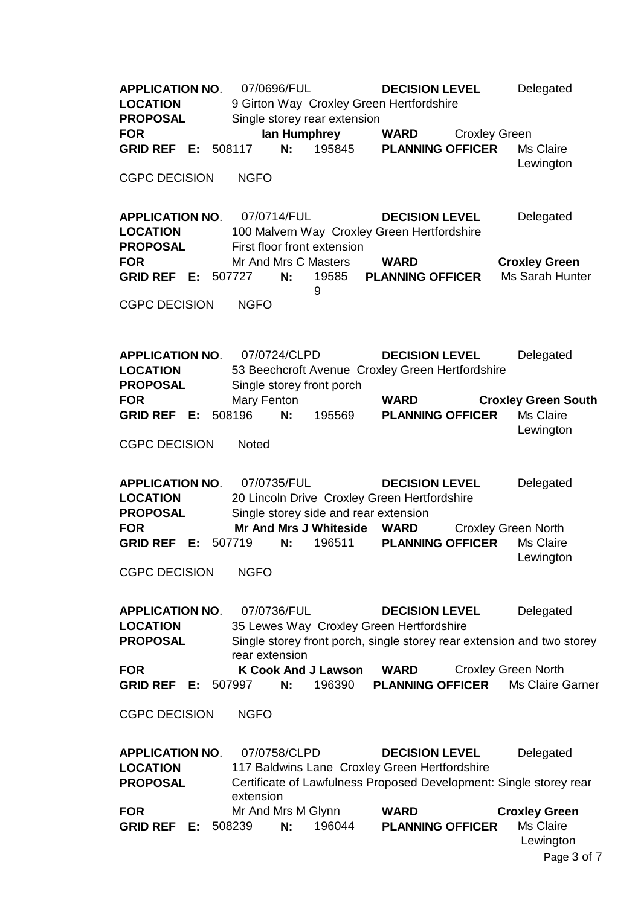**APPLICATION NO**. 07/0696/FUL **DECISION LEVEL** Delegated **LOCATION** 9 Girton Way Croxley Green Hertfordshire **PROPOSAL** Single storey rear extension **FOR Ian Humphrey WARD** Croxley Green **GRID REF E:** 508117 **N:** 195845 **PLANNING OFFICER** Ms Claire Lewington CGPC DECISION NGFO **APPLICATION NO**. 07/0714/FUL **DECISION LEVEL** Delegated **LOCATION** 100 Malvern Way Croxley Green Hertfordshire **PROPOSAL** First floor front extension **FOR** Mr And Mrs C Masters **WARD Croxley Green GRID REF E:** 507727 **N:** 19585 9 **PLANNING OFFICER** Ms Sarah Hunter CGPC DECISION NGFO **APPLICATION NO**. 07/0724/CLPD **DECISION LEVEL** Delegated **LOCATION** 53 Beechcroft Avenue Croxley Green Hertfordshire **PROPOSAL** Single storey front porch **FOR** Mary Fenton **WARD Croxley Green South GRID REF E:** 508196 **N:** 195569 **PLANNING OFFICER** Ms Claire Lewington CGPC DECISION Noted **APPLICATION NO**. 07/0735/FUL **DECISION LEVEL** Delegated **LOCATION** 20 Lincoln Drive Croxley Green Hertfordshire **PROPOSAL** Single storey side and rear extension **FOR Mr And Mrs J Whiteside WARD** Croxley Green North **GRID REF E:** 507719 **N:** 196511 **PLANNING OFFICER** Ms Claire Lewington CGPC DECISION NGFO **APPLICATION NO**. 07/0736/FUL **DECISION LEVEL** Delegated **LOCATION** 35 Lewes Way Croxley Green Hertfordshire **PROPOSAL** Single storey front porch, single storey rear extension and two storey rear extension **FOR K Cook And J Lawson WARD** Croxley Green North **GRID REF E:** 507997 **N:** 196390 **PLANNING OFFICER** Ms Claire Garner CGPC DECISION NGFO **APPLICATION NO**. 07/0758/CLPD **DECISION LEVEL** Delegated **LOCATION** 117 Baldwins Lane Croxley Green Hertfordshire **PROPOSAL** Certificate of Lawfulness Proposed Development: Single storey rear extension **FOR** Mr And Mrs M Glynn **WARD Croxley Green GRID REF E:** 508239 **N:** 196044 **PLANNING OFFICER** Ms Claire Lewington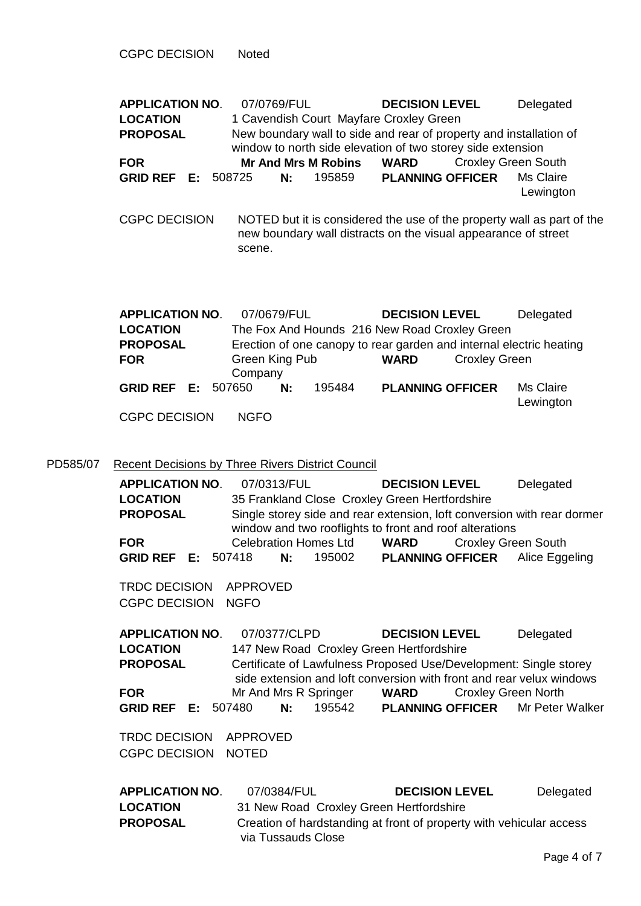CGPC DECISION Noted

PD585/07

| <b>LOCATION</b><br><b>PROPOSAL</b><br><b>FOR</b><br><b>GRID REF E: 508725</b>                                                                                | <b>Mr And Mrs M Robins</b><br>N:                            | 195859 | 1 Cavendish Court Mayfare Croxley Green<br>New boundary wall to side and rear of property and installation of<br>window to north side elevation of two storey side extension<br><b>WARD</b><br><b>PLANNING OFFICER</b> | <b>Croxley Green South</b> | Ms Claire                                                                                                                                                                 |
|--------------------------------------------------------------------------------------------------------------------------------------------------------------|-------------------------------------------------------------|--------|------------------------------------------------------------------------------------------------------------------------------------------------------------------------------------------------------------------------|----------------------------|---------------------------------------------------------------------------------------------------------------------------------------------------------------------------|
|                                                                                                                                                              |                                                             |        |                                                                                                                                                                                                                        |                            | Lewington                                                                                                                                                                 |
| <b>CGPC DECISION</b>                                                                                                                                         | scene.                                                      |        | new boundary wall distracts on the visual appearance of street                                                                                                                                                         |                            | NOTED but it is considered the use of the property wall as part of the                                                                                                    |
| <b>APPLICATION NO.</b><br><b>LOCATION</b><br><b>PROPOSAL</b><br><b>FOR</b>                                                                                   | 07/0679/FUL<br>Green King Pub<br>Company                    |        | <b>DECISION LEVEL</b><br>The Fox And Hounds 216 New Road Croxley Green<br>Erection of one canopy to rear garden and internal electric heating<br><b>WARD</b>                                                           | <b>Croxley Green</b>       | Delegated                                                                                                                                                                 |
| <b>GRID REF E:</b><br><b>CGPC DECISION</b>                                                                                                                   | 507650<br>N:<br><b>NGFO</b>                                 | 195484 | <b>PLANNING OFFICER</b>                                                                                                                                                                                                |                            | Ms Claire<br>Lewington                                                                                                                                                    |
| <b>Recent Decisions by Three Rivers District Council</b><br><b>APPLICATION NO.</b><br><b>LOCATION</b><br><b>PROPOSAL</b><br><b>FOR</b><br><b>GRID REF</b> E: | 07/0313/FUL<br><b>Celebration Homes Ltd</b><br>507418<br>N: | 195002 | <b>DECISION LEVEL</b><br>35 Frankland Close Croxley Green Hertfordshire<br>window and two rooflights to front and roof alterations<br><b>WARD</b><br><b>PLANNING OFFICER</b>                                           | <b>Croxley Green South</b> | Delegated<br>Single storey side and rear extension, loft conversion with rear dormer<br>Alice Eggeling                                                                    |
| <b>TRDC DECISION</b><br><b>CGPC DECISION</b>                                                                                                                 | <b>APPROVED</b><br><b>NGFO</b>                              |        |                                                                                                                                                                                                                        |                            |                                                                                                                                                                           |
| <b>APPLICATION NO.</b><br><b>LOCATION</b><br><b>PROPOSAL</b><br><b>FOR</b><br><b>GRID REF E: 507480</b>                                                      | 07/0377/CLPD<br>Mr And Mrs R Springer<br>N:                 | 195542 | <b>DECISION LEVEL</b><br>147 New Road Croxley Green Hertfordshire<br><b>WARD</b><br><b>PLANNING OFFICER</b>                                                                                                            | <b>Croxley Green North</b> | Delegated<br>Certificate of Lawfulness Proposed Use/Development: Single storey<br>side extension and loft conversion with front and rear velux windows<br>Mr Peter Walker |
| <b>TRDC DECISION</b><br><b>CGPC DECISION</b>                                                                                                                 | <b>APPROVED</b><br><b>NOTED</b>                             |        |                                                                                                                                                                                                                        |                            |                                                                                                                                                                           |
| <b>APPLICATION NO.</b><br><b>LOCATION</b><br><b>PROPOSAL</b>                                                                                                 | 07/0384/FUL                                                 |        | <b>DECISION LEVEL</b><br>31 New Road Croxley Green Hertfordshire                                                                                                                                                       |                            | Delegated<br>Creation of hardstanding at front of property with vehicular access                                                                                          |

via Tussauds Close

**APPLICATION NO**. 07/0769/FUL **DECISION LEVEL** Delegated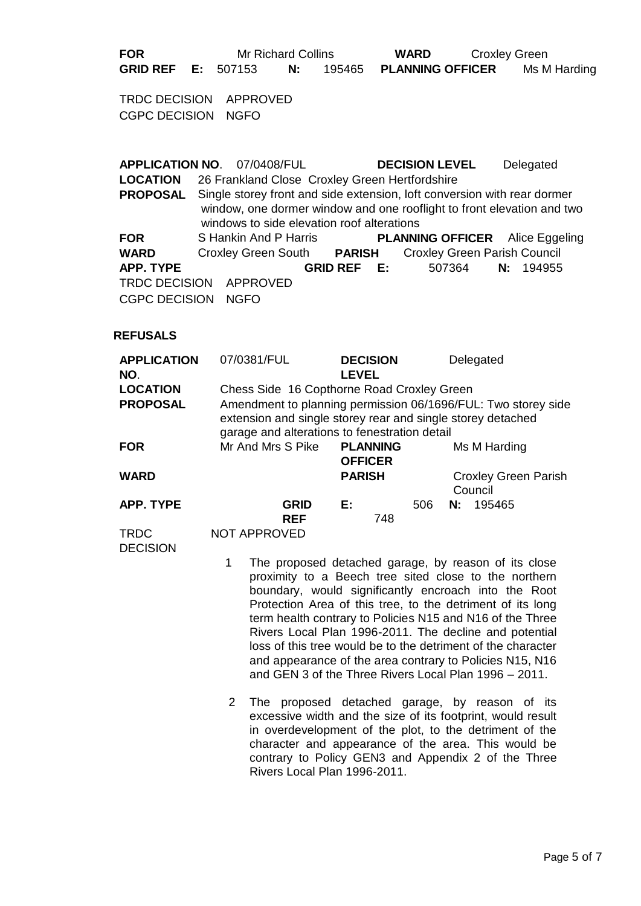**FOR** Mr Richard Collins **WARD** Croxley Green **GRID REF E:** 507153 **N:** 195465 **PLANNING OFFICER** Ms M Harding

TRDC DECISION APPROVED CGPC DECISION NGFO

**APPLICATION NO**. 07/0408/FUL **DECISION LEVEL** Delegated **LOCATION** 26 Frankland Close Croxley Green Hertfordshire **PROPOSAL** Single storey front and side extension, loft conversion with rear dormer window, one dormer window and one rooflight to front elevation and two windows to side elevation roof alterations **FOR** S Hankin And P Harris **PLANNING OFFICER** Alice Eggeling **WARD** Croxley Green South **PARISH** Croxley Green Parish Council **APP. TYPE GRID REF E:** 507364 **N:** 194955 TRDC DECISION APPROVED CGPC DECISION NGFO

#### **REFUSALS**

| <b>APPLICATION</b><br>NO. | 07/0381/FUL                                                                                                                                                                   | <b>DECISION</b><br><b>LEVEL</b>   | Delegated                              |  |  |
|---------------------------|-------------------------------------------------------------------------------------------------------------------------------------------------------------------------------|-----------------------------------|----------------------------------------|--|--|
| <b>LOCATION</b>           | Chess Side 16 Copthorne Road Croxley Green                                                                                                                                    |                                   |                                        |  |  |
| <b>PROPOSAL</b>           | Amendment to planning permission 06/1696/FUL: Two storey side<br>extension and single storey rear and single storey detached<br>garage and alterations to fenestration detail |                                   |                                        |  |  |
| <b>FOR</b>                | Mr And Mrs S Pike                                                                                                                                                             | <b>PLANNING</b><br><b>OFFICER</b> | Ms M Harding                           |  |  |
| <b>WARD</b>               |                                                                                                                                                                               | <b>PARISH</b>                     | <b>Croxley Green Parish</b><br>Council |  |  |
| <b>APP. TYPE</b>          | <b>GRID</b><br><b>REF</b>                                                                                                                                                     | Е.<br>748                         | 195465<br>506<br>N:                    |  |  |
| <b>TRDC</b>               | NOT APPROVED                                                                                                                                                                  |                                   |                                        |  |  |

**DECISION** 

- 1 The proposed detached garage, by reason of its close proximity to a Beech tree sited close to the northern boundary, would significantly encroach into the Root Protection Area of this tree, to the detriment of its long term health contrary to Policies N15 and N16 of the Three Rivers Local Plan 1996-2011. The decline and potential loss of this tree would be to the detriment of the character and appearance of the area contrary to Policies N15, N16 and GEN 3 of the Three Rivers Local Plan 1996 – 2011.
- 2 The proposed detached garage, by reason of its excessive width and the size of its footprint, would result in overdevelopment of the plot, to the detriment of the character and appearance of the area. This would be contrary to Policy GEN3 and Appendix 2 of the Three Rivers Local Plan 1996-2011.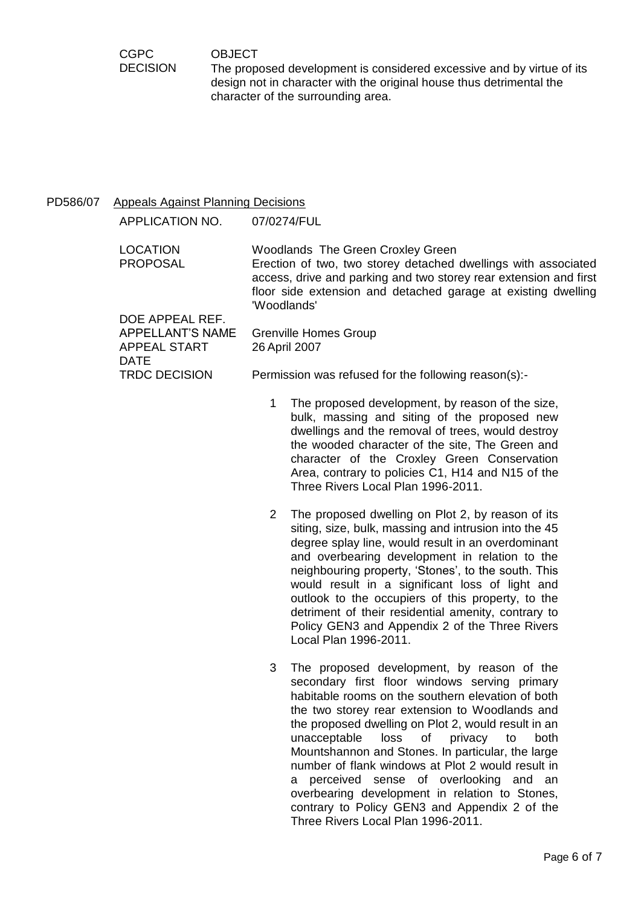**OBJECT** 

The proposed development is considered excessive and by virtue of its design not in character with the original house thus detrimental the character of the surrounding area.

# PD586/07 Appeals Against Planning Decisions

CGPC **DECISION** 

APPLICATION NO. 07/0274/FUL LOCATION Woodlands The Green Croxley Green PROPOSAL Erection of two, two storey detached dwellings with associated access, drive and parking and two storey rear extension and first floor side extension and detached garage at existing dwelling 'Woodlands' DOE APPEAL REF. APPELLANT'S NAME Grenville Homes Group APPEAL START DATE 26 April 2007 TRDC DECISION Permission was refused for the following reason(s):-

- 1 The proposed development, by reason of the size, bulk, massing and siting of the proposed new dwellings and the removal of trees, would destroy the wooded character of the site, The Green and character of the Croxley Green Conservation Area, contrary to policies C1, H14 and N15 of the Three Rivers Local Plan 1996-2011.
- 2 The proposed dwelling on Plot 2, by reason of its siting, size, bulk, massing and intrusion into the 45 degree splay line, would result in an overdominant and overbearing development in relation to the neighbouring property, 'Stones', to the south. This would result in a significant loss of light and outlook to the occupiers of this property, to the detriment of their residential amenity, contrary to Policy GEN3 and Appendix 2 of the Three Rivers Local Plan 1996-2011.
- 3 The proposed development, by reason of the secondary first floor windows serving primary habitable rooms on the southern elevation of both the two storey rear extension to Woodlands and the proposed dwelling on Plot 2, would result in an unacceptable loss of privacy to both Mountshannon and Stones. In particular, the large number of flank windows at Plot 2 would result in a perceived sense of overlooking and an overbearing development in relation to Stones, contrary to Policy GEN3 and Appendix 2 of the Three Rivers Local Plan 1996-2011.